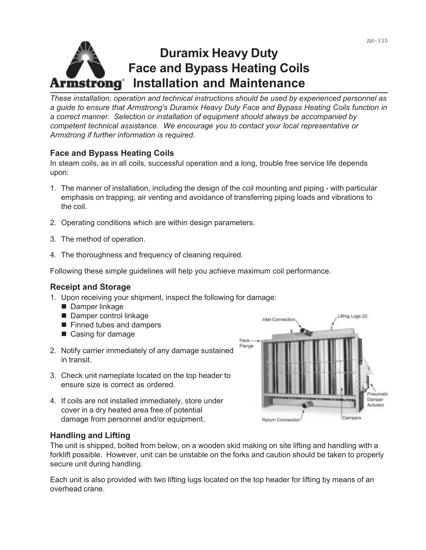# **Duramix Heavy Duty Face and Bypass Heating Coils Armstrong Installation and Maintenance**

*These installation, operation and technical instructions should be used by experienced personnel as a guide to ensure that Armstrong's Duramix Heavy Duty Face and Bypass Heating Coils function in a correct manner. Selection or installation of equipment should always be accompanied by competent technical assistance. We encourage you to contact your local representative or Armstrong if further information is required.*

# **Face and Bypass Heating Coils**

In steam coils, as in all coils, successful operation and a long, trouble free service life depends upon:

- 1. The manner of installation, including the design of the coil mounting and piping with particular emphasis on trapping, air venting and avoidance of transferring piping loads and vibrations to the coil.
- 2. Operating conditions which are within design parameters.
- 3. The method of operation.
- 4. The thoroughness and frequency of cleaning required.

Following these simple guidelines will help you achieve maximum coil performance.

# **Receipt and Storage**

- 1. Upon receiving your shipment, inspect the following for damage:
	- Damper linkage
	- Damper control linkage
	- Finned tubes and dampers
	- Casing for damage
- 2. Notify carrier immediately of any damage sustained in transit.
- 3. Check unit nameplate located on the top header to ensure size is correct as ordered.
- 4. If coils are not installed immediately, store under cover in a dry heated area free of potential damage from personnel and/or equipment.



# **Handling and Lifting**

The unit is shipped, bolted from below, on a wooden skid making on site lifting and handling with a forklift possible. However, unit can be unstable on the forks and caution should be taken to properly secure unit during handling.

Each unit is also provided with two lifting lugs located on the top header for lifting by means of an overhead crane.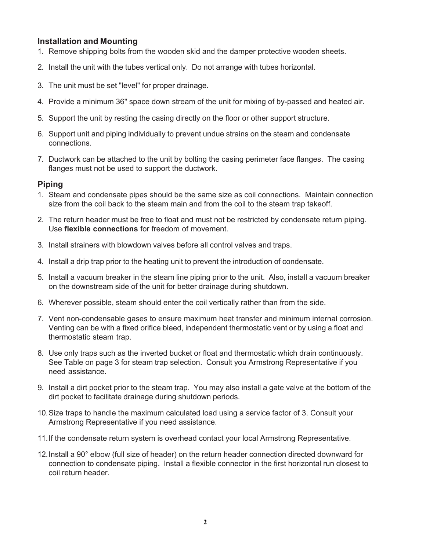#### **Installation and Mounting**

- 1. Remove shipping bolts from the wooden skid and the damper protective wooden sheets.
- 2. Install the unit with the tubes vertical only. Do not arrange with tubes horizontal.
- 3. The unit must be set "level" for proper drainage.
- 4. Provide a minimum 36" space down stream of the unit for mixing of by-passed and heated air.
- 5. Support the unit by resting the casing directly on the floor or other support structure.
- 6. Support unit and piping individually to prevent undue strains on the steam and condensate connections.
- 7. Ductwork can be attached to the unit by bolting the casing perimeter face flanges. The casing flanges must not be used to support the ductwork.

#### **Piping**

- 1. Steam and condensate pipes should be the same size as coil connections. Maintain connection size from the coil back to the steam main and from the coil to the steam trap takeoff.
- 2. The return header must be free to float and must not be restricted by condensate return piping. Use **flexible connections** for freedom of movement.
- 3. Install strainers with blowdown valves before all control valves and traps.
- 4. Install a drip trap prior to the heating unit to prevent the introduction of condensate.
- 5. Install a vacuum breaker in the steam line piping prior to the unit. Also, install a vacuum breaker on the downstream side of the unit for better drainage during shutdown.
- 6. Wherever possible, steam should enter the coil vertically rather than from the side.
- 7. Vent non-condensable gases to ensure maximum heat transfer and minimum internal corrosion. Venting can be with a fixed orifice bleed, independent thermostatic vent or by using a float and thermostatic steam trap.
- 8. Use only traps such as the inverted bucket or float and thermostatic which drain continuously. See Table on page 3 for steam trap selection. Consult you Armstrong Representative if you need assistance.
- 9. Install a dirt pocket prior to the steam trap. You may also install a gate valve at the bottom of the dirt pocket to facilitate drainage during shutdown periods.
- 10.Size traps to handle the maximum calculated load using a service factor of 3. Consult your Armstrong Representative if you need assistance.
- 11.If the condensate return system is overhead contact your local Armstrong Representative.
- 12.Install a 90° elbow (full size of header) on the return header connection directed downward for connection to condensate piping. Install a flexible connector in the first horizontal run closest to coil return header.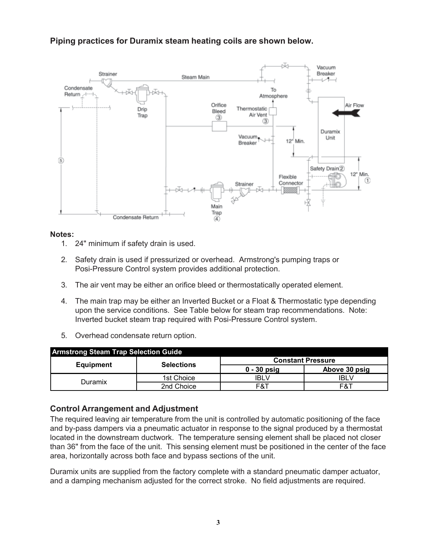# **Piping practices for Duramix steam heating coils are shown below.**



#### **Notes:**

- 1. 24" minimum if safety drain is used.
- 2. Safety drain is used if pressurized or overhead. Armstrong's pumping traps or Posi-Pressure Control system provides additional protection.
- 3. The air vent may be either an orifice bleed or thermostatically operated element.
- 4. The main trap may be either an Inverted Bucket or a Float & Thermostatic type depending upon the service conditions. See Table below for steam trap recommendations. Note: Inverted bucket steam trap required with Posi-Pressure Control system.
- 5. Overhead condensate return option.

| <b>Armstrong Steam Trap Selection Guide</b> |                   |                          |               |
|---------------------------------------------|-------------------|--------------------------|---------------|
| Equipment                                   | <b>Selections</b> | <b>Constant Pressure</b> |               |
|                                             |                   | $0 - 30$ psig            | Above 30 psig |
| Duramix                                     | 1st Choice        | IBLV                     | <b>IBLV</b>   |
|                                             | 2nd Choice        | F&T                      | F&T           |

# **Control Arrangement and Adjustment**

The required leaving air temperature from the unit is controlled by automatic positioning of the face and by-pass dampers via a pneumatic actuator in response to the signal produced by a thermostat located in the downstream ductwork. The temperature sensing element shall be placed not closer than 36" from the face of the unit. This sensing element must be positioned in the center of the face area, horizontally across both face and bypass sections of the unit.

Duramix units are supplied from the factory complete with a standard pneumatic damper actuator, and a damping mechanism adjusted for the correct stroke. No field adjustments are required.